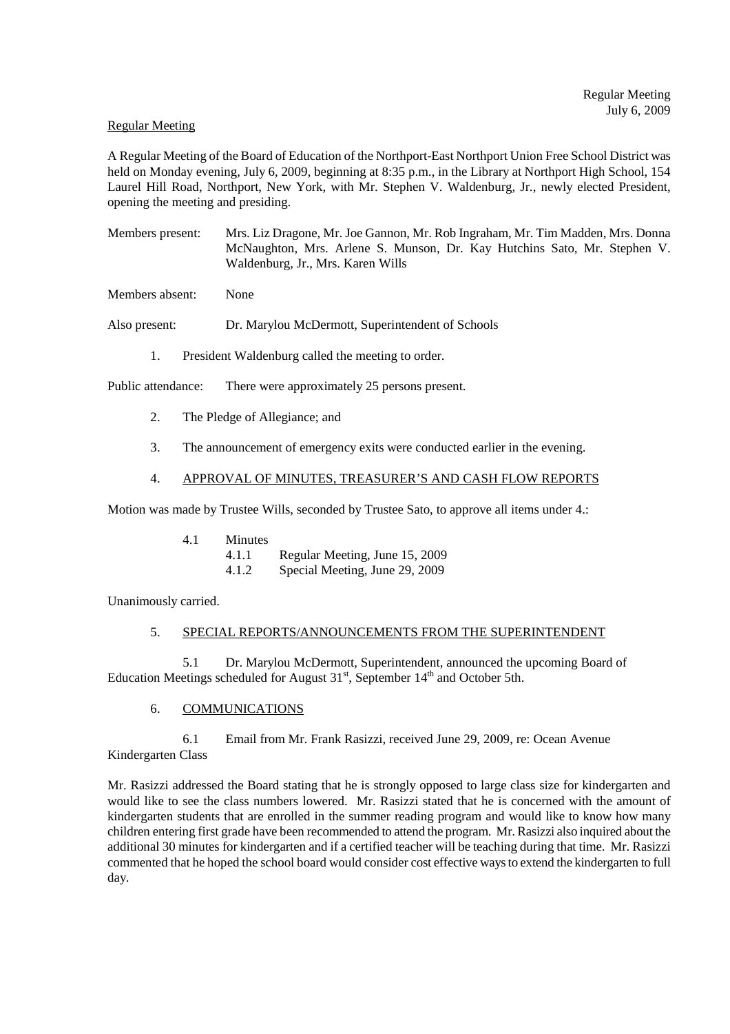## Regular Meeting

A Regular Meeting of the Board of Education of the Northport-East Northport Union Free School District was held on Monday evening, July 6, 2009, beginning at 8:35 p.m., in the Library at Northport High School, 154 Laurel Hill Road, Northport, New York, with Mr. Stephen V. Waldenburg, Jr., newly elected President, opening the meeting and presiding.

Members present: Mrs. Liz Dragone, Mr. Joe Gannon, Mr. Rob Ingraham, Mr. Tim Madden, Mrs. Donna McNaughton, Mrs. Arlene S. Munson, Dr. Kay Hutchins Sato, Mr. Stephen V. Waldenburg, Jr., Mrs. Karen Wills

Members absent: None

Also present: Dr. Marylou McDermott, Superintendent of Schools

1. President Waldenburg called the meeting to order.

Public attendance: There were approximately 25 persons present.

- 2. The Pledge of Allegiance; and
- 3. The announcement of emergency exits were conducted earlier in the evening.

# 4. APPROVAL OF MINUTES, TREASURER'S AND CASH FLOW REPORTS

Motion was made by Trustee Wills, seconded by Trustee Sato, to approve all items under 4.:

4.1.1 Regular Meeting, June 15, 2009

4.1.2 Special Meeting, June 29, 2009

Unanimously carried.

## 5. SPECIAL REPORTS/ANNOUNCEMENTS FROM THE SUPERINTENDENT

5.1 Dr. Marylou McDermott, Superintendent, announced the upcoming Board of Education Meetings scheduled for August  $31<sup>st</sup>$ , September  $14<sup>th</sup>$  and October 5th.

## 6. COMMUNICATIONS

6.1 Email from Mr. Frank Rasizzi, received June 29, 2009, re: Ocean Avenue Kindergarten Class

Mr. Rasizzi addressed the Board stating that he is strongly opposed to large class size for kindergarten and would like to see the class numbers lowered. Mr. Rasizzi stated that he is concerned with the amount of kindergarten students that are enrolled in the summer reading program and would like to know how many children entering first grade have been recommended to attend the program. Mr. Rasizzi also inquired about the additional 30 minutes for kindergarten and if a certified teacher will be teaching during that time. Mr. Rasizzi commented that he hoped the school board would consider cost effective ways to extend the kindergarten to full day.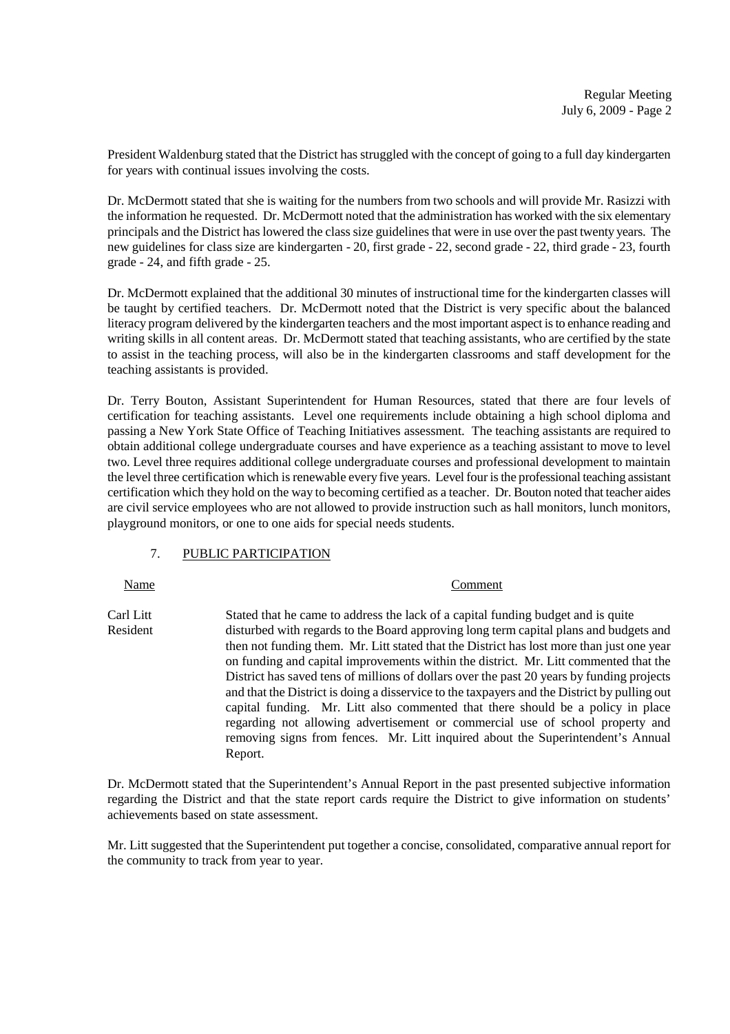President Waldenburg stated that the District has struggled with the concept of going to a full day kindergarten for years with continual issues involving the costs.

Dr. McDermott stated that she is waiting for the numbers from two schools and will provide Mr. Rasizzi with the information he requested. Dr. McDermott noted that the administration has worked with the six elementary principals and the District has lowered the class size guidelines that were in use over the past twenty years. The new guidelines for class size are kindergarten - 20, first grade - 22, second grade - 22, third grade - 23, fourth grade - 24, and fifth grade - 25.

Dr. McDermott explained that the additional 30 minutes of instructional time for the kindergarten classes will be taught by certified teachers. Dr. McDermott noted that the District is very specific about the balanced literacy program delivered by the kindergarten teachers and the most important aspect is to enhance reading and writing skills in all content areas. Dr. McDermott stated that teaching assistants, who are certified by the state to assist in the teaching process, will also be in the kindergarten classrooms and staff development for the teaching assistants is provided.

Dr. Terry Bouton, Assistant Superintendent for Human Resources, stated that there are four levels of certification for teaching assistants. Level one requirements include obtaining a high school diploma and passing a New York State Office of Teaching Initiatives assessment. The teaching assistants are required to obtain additional college undergraduate courses and have experience as a teaching assistant to move to level two. Level three requires additional college undergraduate courses and professional development to maintain the level three certification which is renewable every five years. Level four is the professional teaching assistant certification which they hold on the way to becoming certified as a teacher. Dr. Bouton noted that teacher aides are civil service employees who are not allowed to provide instruction such as hall monitors, lunch monitors, playground monitors, or one to one aids for special needs students.

# 7. PUBLIC PARTICIPATION

Name Comment

Carl Litt Stated that he came to address the lack of a capital funding budget and is quite Resident disturbed with regards to the Board approving long term capital plans and budgets and then not funding them. Mr. Litt stated that the District has lost more than just one year on funding and capital improvements within the district. Mr. Litt commented that the District has saved tens of millions of dollars over the past 20 years by funding projects and that the District is doing a disservice to the taxpayers and the District by pulling out capital funding. Mr. Litt also commented that there should be a policy in place regarding not allowing advertisement or commercial use of school property and removing signs from fences. Mr. Litt inquired about the Superintendent's Annual Report.

Dr. McDermott stated that the Superintendent's Annual Report in the past presented subjective information regarding the District and that the state report cards require the District to give information on students' achievements based on state assessment.

Mr. Litt suggested that the Superintendent put together a concise, consolidated, comparative annual report for the community to track from year to year.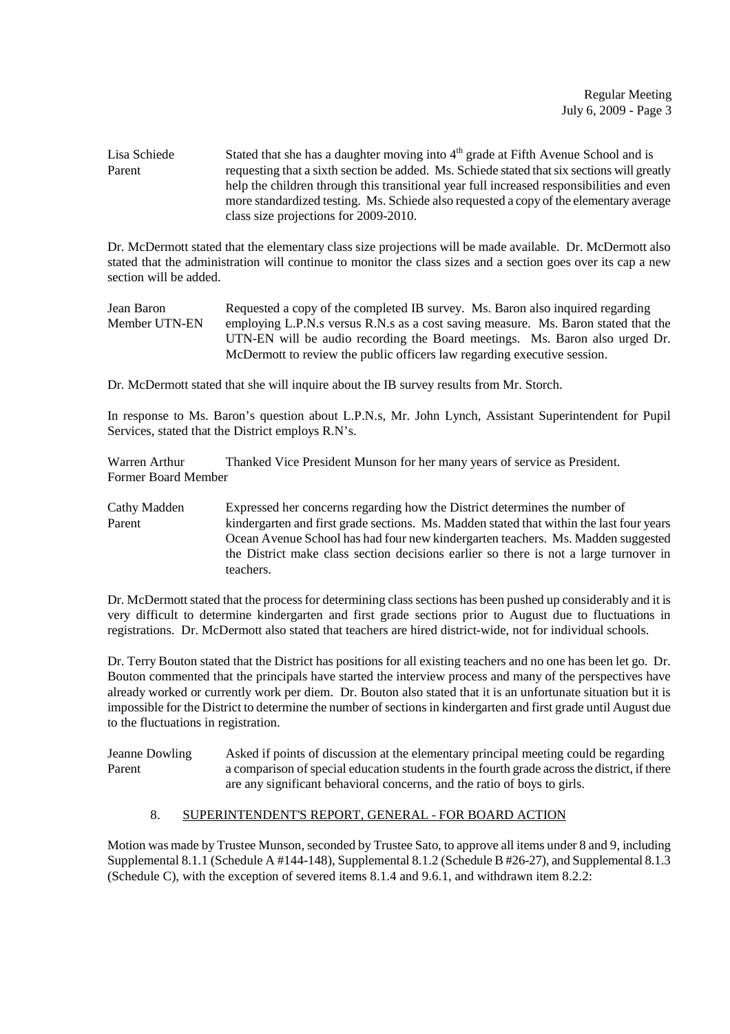Lisa Schiede Stated that she has a daughter moving into  $4<sup>th</sup>$  grade at Fifth Avenue School and is Parent requesting that a sixth section be added. Ms. Schiede stated that six sections will greatly help the children through this transitional year full increased responsibilities and even more standardized testing. Ms. Schiede also requested a copy of the elementary average class size projections for 2009-2010.

Dr. McDermott stated that the elementary class size projections will be made available. Dr. McDermott also stated that the administration will continue to monitor the class sizes and a section goes over its cap a new section will be added.

Jean Baron Requested a copy of the completed IB survey. Ms. Baron also inquired regarding Member UTN-EN employing L.P.N.s versus R.N.s as a cost saving measure. Ms. Baron stated that the UTN-EN will be audio recording the Board meetings. Ms. Baron also urged Dr. McDermott to review the public officers law regarding executive session.

Dr. McDermott stated that she will inquire about the IB survey results from Mr. Storch.

In response to Ms. Baron's question about L.P.N.s, Mr. John Lynch, Assistant Superintendent for Pupil Services, stated that the District employs R.N's.

Warren Arthur Thanked Vice President Munson for her many years of service as President. Former Board Member

Cathy Madden Expressed her concerns regarding how the District determines the number of Parent kindergarten and first grade sections. Ms. Madden stated that within the last four years Ocean Avenue School has had four new kindergarten teachers. Ms. Madden suggested the District make class section decisions earlier so there is not a large turnover in teachers.

Dr. McDermott stated that the process for determining class sections has been pushed up considerably and it is very difficult to determine kindergarten and first grade sections prior to August due to fluctuations in registrations. Dr. McDermott also stated that teachers are hired district-wide, not for individual schools.

Dr. Terry Bouton stated that the District has positions for all existing teachers and no one has been let go. Dr. Bouton commented that the principals have started the interview process and many of the perspectives have already worked or currently work per diem. Dr. Bouton also stated that it is an unfortunate situation but it is impossible for the District to determine the number of sections in kindergarten and first grade until August due to the fluctuations in registration.

Jeanne Dowling Asked if points of discussion at the elementary principal meeting could be regarding Parent a comparison of special education students in the fourth grade across the district, if there are any significant behavioral concerns, and the ratio of boys to girls.

# 8. SUPERINTENDENT'S REPORT, GENERAL - FOR BOARD ACTION

Motion was made by Trustee Munson, seconded by Trustee Sato, to approve all items under 8 and 9, including Supplemental 8.1.1 (Schedule A #144-148), Supplemental 8.1.2 (Schedule B #26-27), and Supplemental 8.1.3 (Schedule C), with the exception of severed items 8.1.4 and 9.6.1, and withdrawn item 8.2.2: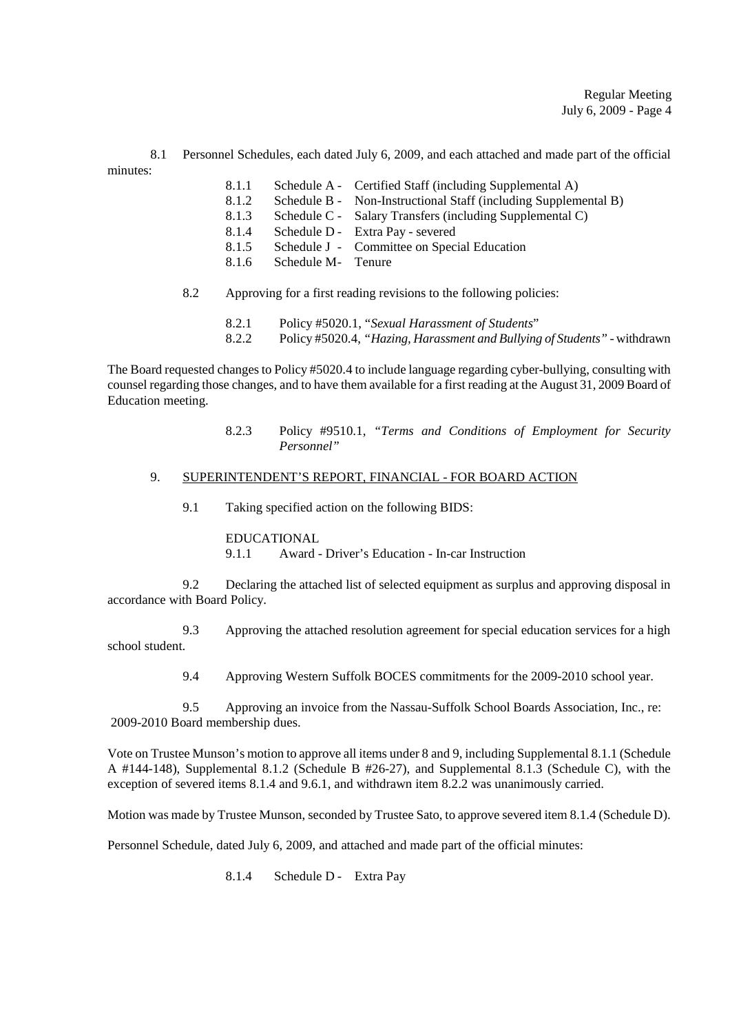8.1 Personnel Schedules, each dated July 6, 2009, and each attached and made part of the official minutes:

- 8.1.1 Schedule A Certified Staff (including Supplemental A)
- 8.1.2 Schedule B Non-Instructional Staff (including Supplemental B)
- 8.1.3 Schedule C Salary Transfers (including Supplemental C)
- 8.1.4 Schedule D Extra Pay severed
- 8.1.5 Schedule J Committee on Special Education
- 8.1.6 Schedule M- Tenure
- 8.2 Approving for a first reading revisions to the following policies:
	- 8.2.1 Policy #5020.1, "*Sexual Harassment of Students*"
	- 8.2.2 Policy #5020.4, *"Hazing, Harassment and Bullying of Students"*  withdrawn

The Board requested changes to Policy #5020.4 to include language regarding cyber-bullying, consulting with counsel regarding those changes, and to have them available for a first reading at the August 31, 2009 Board of Education meeting.

> 8.2.3 Policy #9510.1, *"Terms and Conditions of Employment for Security Personnel"*

## 9. SUPERINTENDENT'S REPORT, FINANCIAL - FOR BOARD ACTION

9.1 Taking specified action on the following BIDS:

# EDUCATIONAL

9.1.1 Award - Driver's Education - In-car Instruction

9.2 Declaring the attached list of selected equipment as surplus and approving disposal in accordance with Board Policy.

9.3 Approving the attached resolution agreement for special education services for a high school student.

9.4 Approving Western Suffolk BOCES commitments for the 2009-2010 school year.

9.5 Approving an invoice from the Nassau-Suffolk School Boards Association, Inc., re: 2009-2010 Board membership dues.

Vote on Trustee Munson's motion to approve all items under 8 and 9, including Supplemental 8.1.1 (Schedule A #144-148), Supplemental 8.1.2 (Schedule B #26-27), and Supplemental 8.1.3 (Schedule C), with the exception of severed items 8.1.4 and 9.6.1, and withdrawn item 8.2.2 was unanimously carried.

Motion was made by Trustee Munson, seconded by Trustee Sato, to approve severed item 8.1.4 (Schedule D).

Personnel Schedule, dated July 6, 2009, and attached and made part of the official minutes:

8.1.4 Schedule D - Extra Pay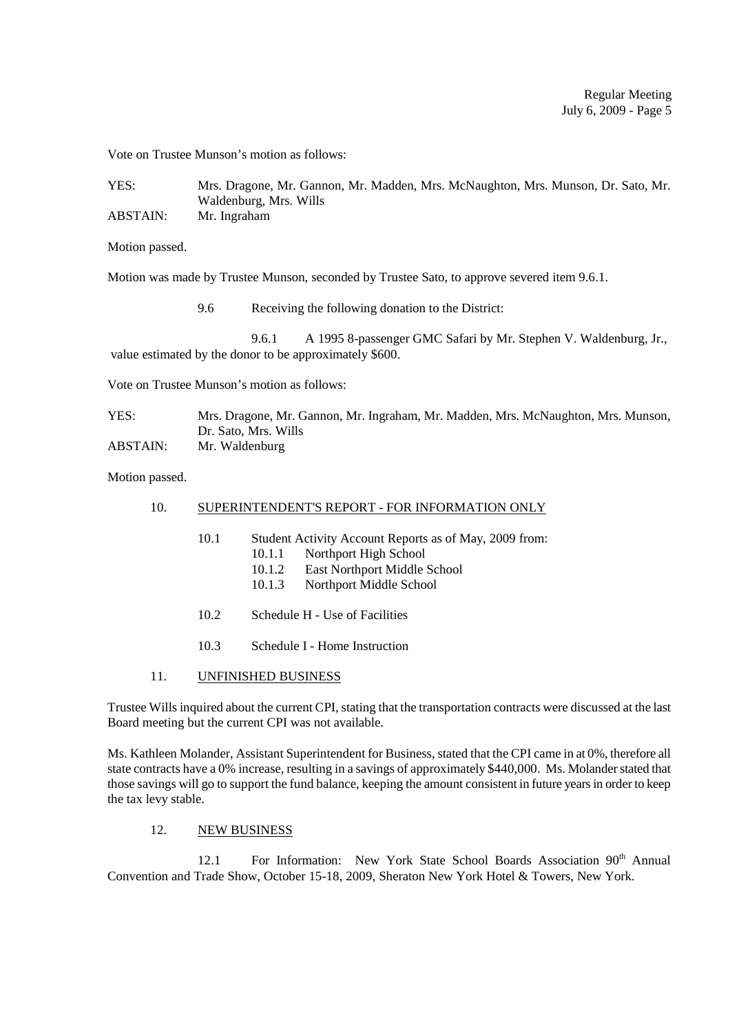Vote on Trustee Munson's motion as follows:

YES: Mrs. Dragone, Mr. Gannon, Mr. Madden, Mrs. McNaughton, Mrs. Munson, Dr. Sato, Mr. Waldenburg, Mrs. Wills ABSTAIN: Mr. Ingraham

Motion passed.

Motion was made by Trustee Munson, seconded by Trustee Sato, to approve severed item 9.6.1.

9.6 Receiving the following donation to the District:

9.6.1 A 1995 8-passenger GMC Safari by Mr. Stephen V. Waldenburg, Jr., value estimated by the donor to be approximately \$600.

Vote on Trustee Munson's motion as follows:

| YES:     | Mrs. Dragone, Mr. Gannon, Mr. Ingraham, Mr. Madden, Mrs. McNaughton, Mrs. Munson, |
|----------|-----------------------------------------------------------------------------------|
|          | Dr. Sato, Mrs. Wills                                                              |
| ABSTAIN: | Mr. Waldenburg                                                                    |

Motion passed.

### 10. SUPERINTENDENT'S REPORT - FOR INFORMATION ONLY

- 10.1 Student Activity Account Reports as of May, 2009 from:
	- 10.1.1 Northport High School
	- 10.1.2 East Northport Middle School
	- 10.1.3 Northport Middle School
- 10.2 Schedule H Use of Facilities
- 10.3 Schedule I Home Instruction

#### 11. UNFINISHED BUSINESS

Trustee Wills inquired about the current CPI, stating that the transportation contracts were discussed at the last Board meeting but the current CPI was not available.

Ms. Kathleen Molander, Assistant Superintendent for Business, stated that the CPI came in at 0%, therefore all state contracts have a 0% increase, resulting in a savings of approximately \$440,000. Ms. Molander stated that those savings will go to support the fund balance, keeping the amount consistent in future years in order to keep the tax levy stable.

### 12. NEW BUSINESS

12.1 For Information: New York State School Boards Association 90<sup>th</sup> Annual Convention and Trade Show, October 15-18, 2009, Sheraton New York Hotel & Towers, New York.